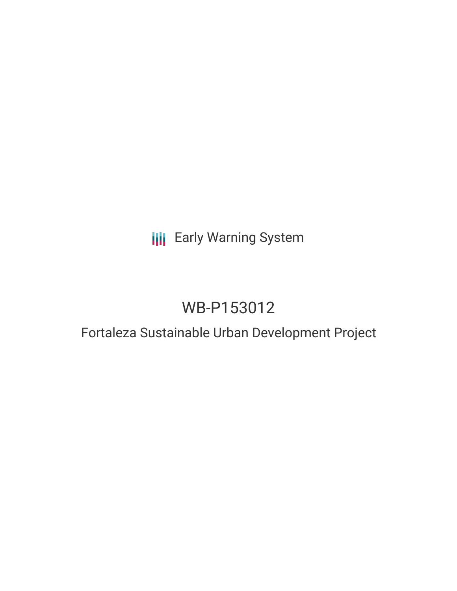### **III** Early Warning System

# WB-P153012

### Fortaleza Sustainable Urban Development Project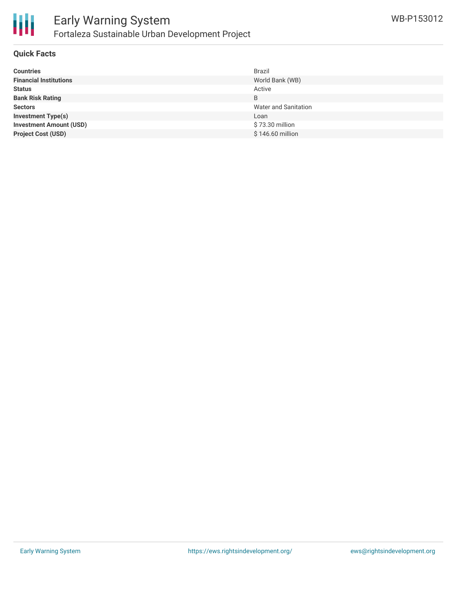

#### **Quick Facts**

| <b>Countries</b>               | Brazil                      |
|--------------------------------|-----------------------------|
| <b>Financial Institutions</b>  | World Bank (WB)             |
| <b>Status</b>                  | Active                      |
| <b>Bank Risk Rating</b>        | B                           |
| <b>Sectors</b>                 | <b>Water and Sanitation</b> |
| <b>Investment Type(s)</b>      | Loan                        |
| <b>Investment Amount (USD)</b> | \$73.30 million             |
| <b>Project Cost (USD)</b>      | \$146.60 million            |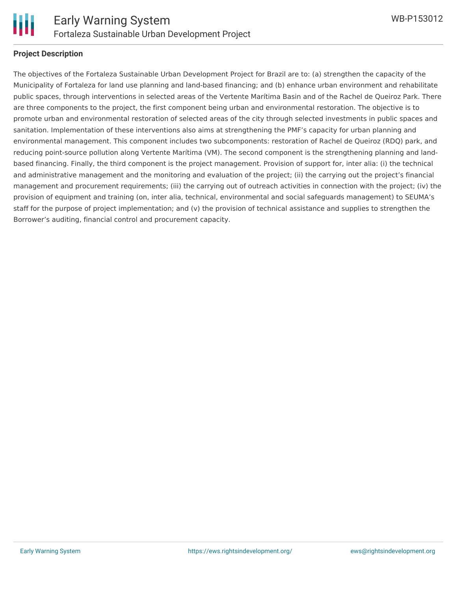

#### **Project Description**

The objectives of the Fortaleza Sustainable Urban Development Project for Brazil are to: (a) strengthen the capacity of the Municipality of Fortaleza for land use planning and land-based financing; and (b) enhance urban environment and rehabilitate public spaces, through interventions in selected areas of the Vertente Marítima Basin and of the Rachel de Queiroz Park. There are three components to the project, the first component being urban and environmental restoration. The objective is to promote urban and environmental restoration of selected areas of the city through selected investments in public spaces and sanitation. Implementation of these interventions also aims at strengthening the PMF's capacity for urban planning and environmental management. This component includes two subcomponents: restoration of Rachel de Queiroz (RDQ) park, and reducing point-source pollution along Vertente Marítima (VM). The second component is the strengthening planning and landbased financing. Finally, the third component is the project management. Provision of support for, inter alia: (i) the technical and administrative management and the monitoring and evaluation of the project; (ii) the carrying out the project's financial management and procurement requirements; (iii) the carrying out of outreach activities in connection with the project; (iv) the provision of equipment and training (on, inter alia, technical, environmental and social safeguards management) to SEUMA's staff for the purpose of project implementation; and (v) the provision of technical assistance and supplies to strengthen the Borrower's auditing, financial control and procurement capacity.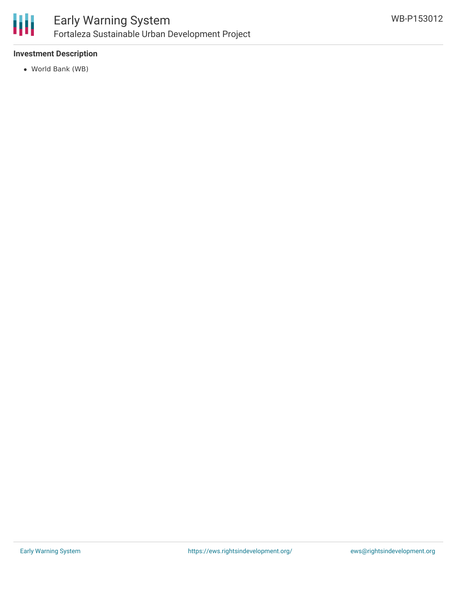

#### **Investment Description**

World Bank (WB)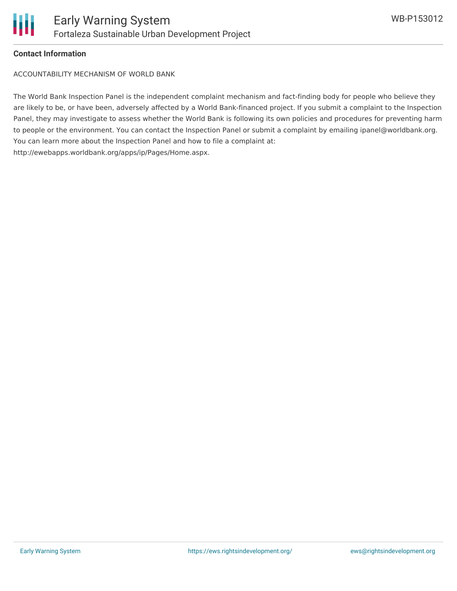

#### **Contact Information**

ACCOUNTABILITY MECHANISM OF WORLD BANK

The World Bank Inspection Panel is the independent complaint mechanism and fact-finding body for people who believe they are likely to be, or have been, adversely affected by a World Bank-financed project. If you submit a complaint to the Inspection Panel, they may investigate to assess whether the World Bank is following its own policies and procedures for preventing harm to people or the environment. You can contact the Inspection Panel or submit a complaint by emailing ipanel@worldbank.org. You can learn more about the Inspection Panel and how to file a complaint at: http://ewebapps.worldbank.org/apps/ip/Pages/Home.aspx.